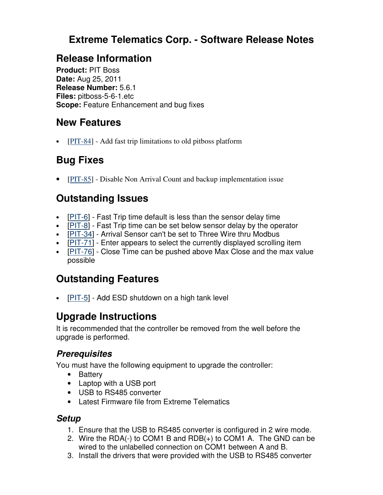### **Extreme Telematics Corp. - Software Release Notes**

### **Release Information**

**Product:** PIT Boss **Date:** Aug 25, 2011 **Release Number:** 5.6.1 **Files:** pitboss-5-6-1.etc **Scope:** Feature Enhancement and bug fixes

### **New Features**

• [PIT-84] - Add fast trip limitations to old pitboss platform

# **Bug Fixes**

• [PIT-85] - Disable Non Arrival Count and backup implementation issue

# **Outstanding Issues**

- [PIT-6] Fast Trip time default is less than the sensor delay time
- [PIT-8] Fast Trip time can be set below sensor delay by the operator
- [PIT-34] Arrival Sensor can't be set to Three Wire thru Modbus
- [PIT-71] Enter appears to select the currently displayed scrolling item
- [PIT-76] Close Time can be pushed above Max Close and the max value possible

# **Outstanding Features**

•  $[PIT-5]$  - Add ESD shutdown on a high tank level

# **Upgrade Instructions**

It is recommended that the controller be removed from the well before the upgrade is performed.

### **Prerequisites**

You must have the following equipment to upgrade the controller:

- Battery
- Laptop with a USB port
- USB to RS485 converter
- Latest Firmware file from Extreme Telematics

#### **Setup**

- 1. Ensure that the USB to RS485 converter is configured in 2 wire mode.
- 2. Wire the RDA(-) to COM1 B and RDB(+) to COM1 A. The GND can be wired to the unlabelled connection on COM1 between A and B.
- 3. Install the drivers that were provided with the USB to RS485 converter